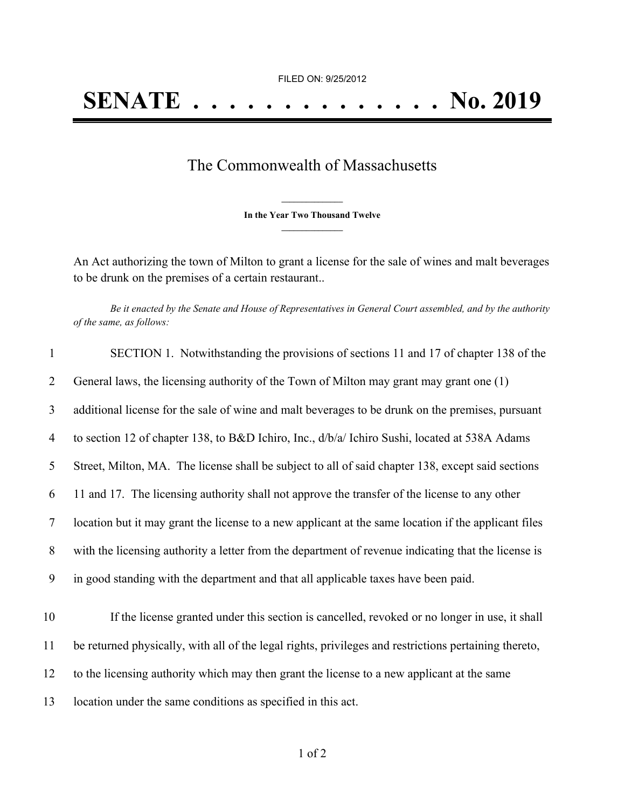FILED ON: 9/25/2012

## The Commonwealth of Massachusetts

**\_\_\_\_\_\_\_\_\_\_\_\_\_\_\_ In the Year Two Thousand Twelve \_\_\_\_\_\_\_\_\_\_\_\_\_\_\_**

An Act authorizing the town of Milton to grant a license for the sale of wines and malt beverages to be drunk on the premises of a certain restaurant..

Be it enacted by the Senate and House of Representatives in General Court assembled, and by the authority *of the same, as follows:*

| $\mathbf{1}$   | SECTION 1. Notwithstanding the provisions of sections 11 and 17 of chapter 138 of the                 |
|----------------|-------------------------------------------------------------------------------------------------------|
| 2              | General laws, the licensing authority of the Town of Milton may grant may grant one (1)               |
| 3              | additional license for the sale of wine and malt beverages to be drunk on the premises, pursuant      |
| $\overline{4}$ | to section 12 of chapter 138, to B&D Ichiro, Inc., d/b/a/ Ichiro Sushi, located at 538A Adams         |
| 5              | Street, Milton, MA. The license shall be subject to all of said chapter 138, except said sections     |
| 6              | 11 and 17. The licensing authority shall not approve the transfer of the license to any other         |
| $\overline{7}$ | location but it may grant the license to a new applicant at the same location if the applicant files  |
| 8              | with the licensing authority a letter from the department of revenue indicating that the license is   |
| 9              | in good standing with the department and that all applicable taxes have been paid.                    |
| 10             | If the license granted under this section is cancelled, revoked or no longer in use, it shall         |
| 11             | be returned physically, with all of the legal rights, privileges and restrictions pertaining thereto, |
| 12             | to the licensing authority which may then grant the license to a new applicant at the same            |
| 13             | location under the same conditions as specified in this act.                                          |
|                |                                                                                                       |